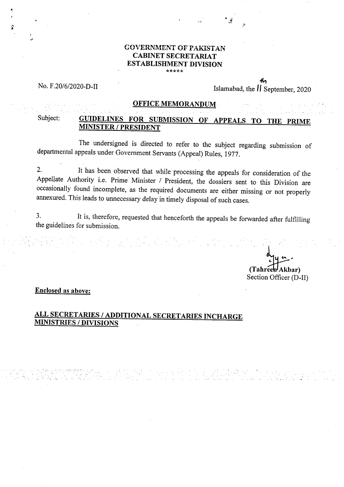### OVERNMENT OF PAKISTAN CABINET SECRETARIAT ESTABLISHMENT DIVISION \*\*\*\*\*

# No. F.20/6/2020-D-II Islamabad, the *II* September, 2020

## OFFICE MEMORANDUM

## Subject: GUIDELINES FOR SUBMISSION OF APPEALS TO THE PRIME MINISTER / PRESIDENT

The undersigned is directed to refer to the subject regarding submission of departmental appeals under Government Servants (Appeal) Rules, 1977.

 $2.$ It has been observed that while processing the appeals for consideration of the Appellate Authority i.e. Prime Minister / President, the dossiers sent to this Division are occasionally found incomplete, as the required documents are either missing or not properly annexured. This leads to unnecessary delay in timely disposal of such cases.

 $3.$ It is, therefore, requested that henceforth the appeals be forwarded after fulfilling the guidelines for submission.

*(Tahreeh***<sup>***Akbar***)</sub>**</sup> Section Officer (D-II)

**Enclosed as above:** 

## **ALL SECRETARIES / ADDITIONAL SECRETARIES INCHARGE MINISTRIES / DIVISIONS**